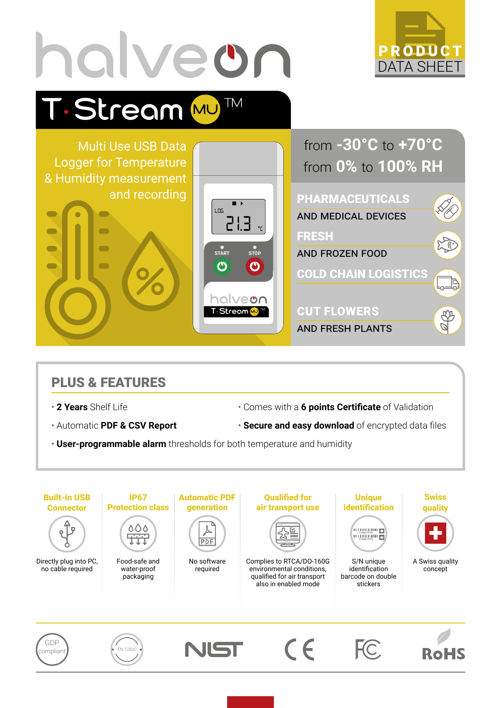

### PLUS & FEATURES

- 
- 
- 2 Years Shelf Life  **Comes with a 6 points Certificate** of Validation
- Automatic **PDF & CSV Report Secure and easy download** of encrypted data files
- **User-programmable alarm** thresholds for both temperature and humidity